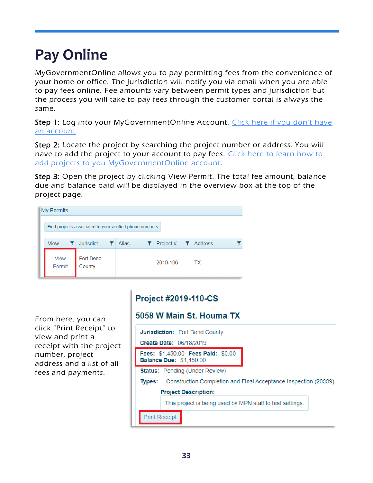## **Pay Online**

MyGovernmentOnline allows you to pay permitting fees from the convenience of your home or office. The jurisdiction will notify you via email when you are able to pay fees online. Fee amounts vary between permit types and jurisdiction but the process you will take to pay fees through the customer portal is always the same.

Step 1: Log into your MyGovernmentOnline Account. Click here if you don't have [an account.](#page-2-0)

Step 2: Locate the project by searching the project number or address. You will have to add the project to your account to pay fees. Click here to learn how to [add projects to you MyGovernmentOnline account.](#page-7-0)

Step 3: Open the project by clicking View Permit. The total fee amount, balance due and balance paid will be displayed in the overview box at the top of the project page.

| My Permits |                                                         |                            |              |                                |         |  |
|------------|---------------------------------------------------------|----------------------------|--------------|--------------------------------|---------|--|
|            | Find projects associated to your verified phone numbers |                            |              |                                |         |  |
|            | <b>View</b>                                             | Jurisdict <sup>1</sup>     | <b>Alias</b> | Project # $\blacktriangledown$ | Address |  |
|            | <b>View</b><br>Permit                                   | <b>Fort Bend</b><br>County |              | 2019-106                       | ТX      |  |

From here, you can click "Print Receipt" to view and print a receipt with the project number, project address and a list of all fees and payments.

## Project #2019-110-CS

## 5058 W Main St. Houma TX

| <b>Jurisdiction:</b> Fort Bend County                                     |  |  |  |  |  |
|---------------------------------------------------------------------------|--|--|--|--|--|
| Create Date: 06/18/2019                                                   |  |  |  |  |  |
| Fees: \$1,450.00 Fees Paid: \$0.00<br><b>Balance Due: \$1,450.00</b>      |  |  |  |  |  |
| <b>Status:</b> Pending (Under Review)                                     |  |  |  |  |  |
| Construction Completion and Final Acceptance Inspection (20339)<br>Types: |  |  |  |  |  |
| <b>Project Description:</b>                                               |  |  |  |  |  |
| This project is being used by MPN staff to test settings.                 |  |  |  |  |  |
| <b>Print Receipt</b>                                                      |  |  |  |  |  |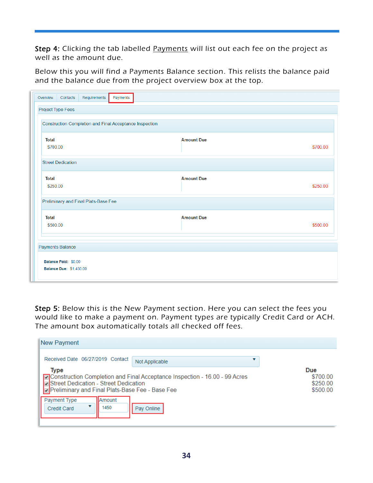Step 4: Clicking the tab labelled Payments will list out each fee on the project as well as the amount due.

Below this you will find a Payments Balance section. This relists the balance paid and the balance due from the project overview box at the top.

| Overview<br>Contacts                                   | Requirements                                                   | Payments |  |                   |  |  |          |
|--------------------------------------------------------|----------------------------------------------------------------|----------|--|-------------------|--|--|----------|
| Project Type Fees                                      |                                                                |          |  |                   |  |  |          |
|                                                        | <b>Construction Completion and Final Acceptance Inspection</b> |          |  |                   |  |  |          |
| <b>Total</b><br>\$700.00                               |                                                                |          |  | <b>Amount Due</b> |  |  | \$700.00 |
| <b>Street Dedication</b>                               |                                                                |          |  |                   |  |  |          |
| <b>Total</b><br>\$250.00                               |                                                                |          |  | <b>Amount Due</b> |  |  | \$250.00 |
|                                                        | Preliminary and Final Plats-Base Fee                           |          |  |                   |  |  |          |
| <b>Total</b><br>\$500.00                               |                                                                |          |  | <b>Amount Due</b> |  |  | \$500.00 |
| <b>Payments Balance</b>                                |                                                                |          |  |                   |  |  |          |
| Balance Paid: \$0.00<br><b>Balance Due: \$1,450.00</b> |                                                                |          |  |                   |  |  |          |

Step 5: Below this is the New Payment section. Here you can select the fees you would like to make a payment on. Payment types are typically Credit Card or ACH. The amount box automatically totals all checked off fees.

| New Payment                                                                                                                                                                                                                               |                |  |  |  |
|-------------------------------------------------------------------------------------------------------------------------------------------------------------------------------------------------------------------------------------------|----------------|--|--|--|
| Received Date 06/27/2019 Contact                                                                                                                                                                                                          | Not Applicable |  |  |  |
| <b>Due</b><br><b>Type</b><br>☑ Construction Completion and Final Acceptance Inspection - 16.00 - 99 Acres<br>\$700.00<br>Street Dedication - Street Dedication<br>\$250.00<br>Preliminary and Final Plats-Base Fee - Base Fee<br>\$500.00 |                |  |  |  |
| Payment Type<br><b>Amount</b><br>1450<br>Credit Card                                                                                                                                                                                      | Pay Online     |  |  |  |